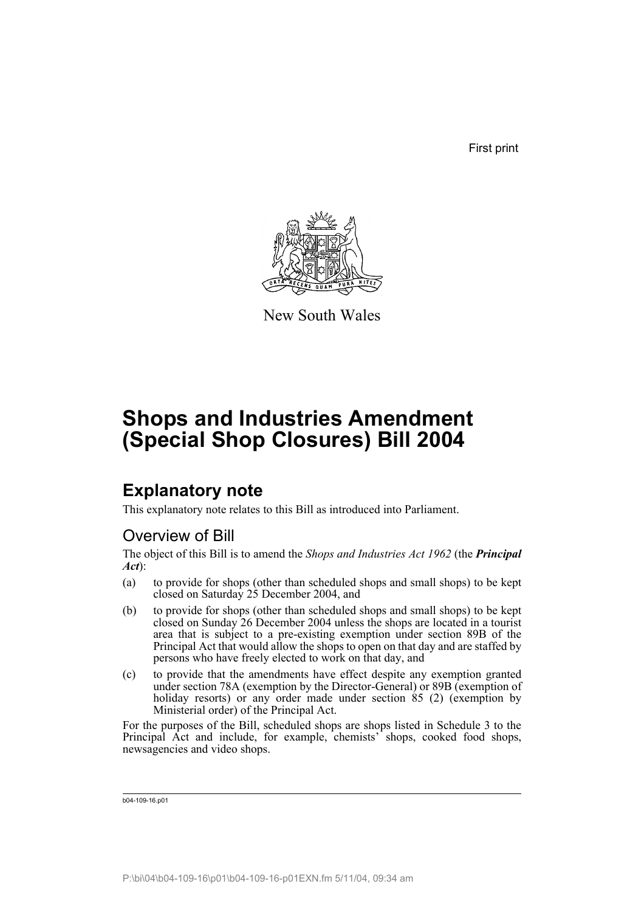First print



New South Wales

# **Shops and Industries Amendment (Special Shop Closures) Bill 2004**

## **Explanatory note**

This explanatory note relates to this Bill as introduced into Parliament.

### Overview of Bill

The object of this Bill is to amend the *Shops and Industries Act 1962* (the *Principal Act*):

- (a) to provide for shops (other than scheduled shops and small shops) to be kept closed on Saturday 25 December 2004, and
- (b) to provide for shops (other than scheduled shops and small shops) to be kept closed on Sunday 26 December 2004 unless the shops are located in a tourist area that is subject to a pre-existing exemption under section 89B of the Principal Act that would allow the shops to open on that day and are staffed by persons who have freely elected to work on that day, and
- (c) to provide that the amendments have effect despite any exemption granted under section 78A (exemption by the Director-General) or 89B (exemption of holiday resorts) or any order made under section 85 (2) (exemption by Ministerial order) of the Principal Act.

For the purposes of the Bill, scheduled shops are shops listed in Schedule 3 to the Principal Act and include, for example, chemists' shops, cooked food shops, newsagencies and video shops.

b04-109-16.p01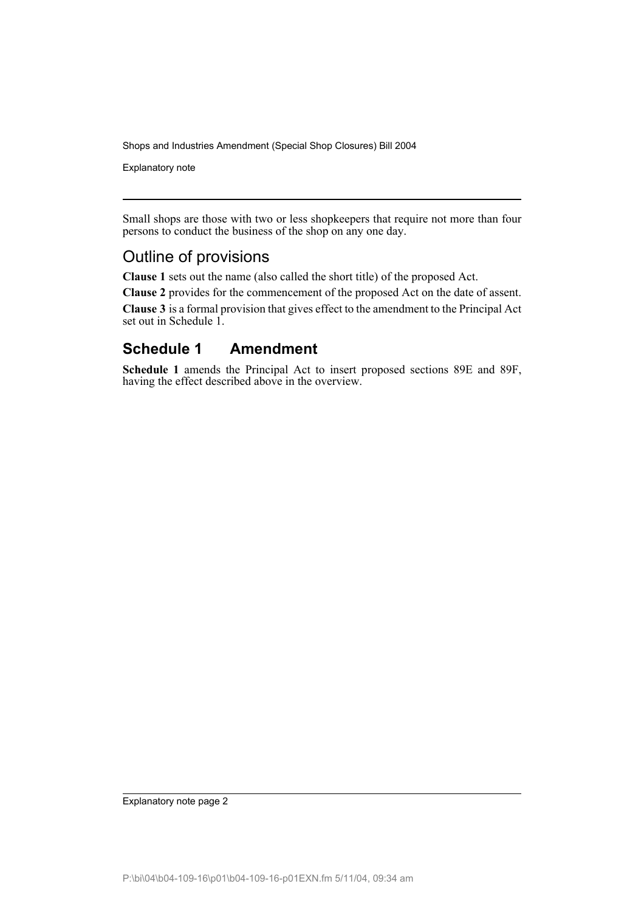Explanatory note

Small shops are those with two or less shopkeepers that require not more than four persons to conduct the business of the shop on any one day.

#### Outline of provisions

**Clause 1** sets out the name (also called the short title) of the proposed Act.

**Clause 2** provides for the commencement of the proposed Act on the date of assent.

**Clause 3** is a formal provision that gives effect to the amendment to the Principal Act set out in Schedule 1.

### **Schedule 1 Amendment**

**Schedule 1** amends the Principal Act to insert proposed sections 89E and 89F, having the effect described above in the overview.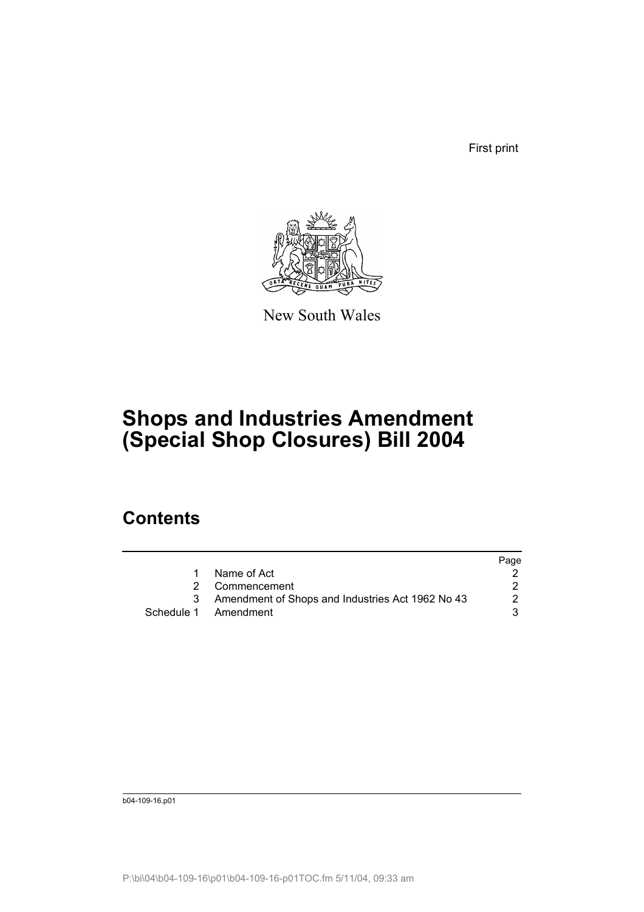First print



New South Wales

## **Shops and Industries Amendment (Special Shop Closures) Bill 2004**

### **Contents**

|                                                  | Page |
|--------------------------------------------------|------|
| Name of Act                                      |      |
| 2 Commencement                                   |      |
| Amendment of Shops and Industries Act 1962 No 43 | 2    |
| Schedule 1 Amendment                             | 3.   |

b04-109-16.p01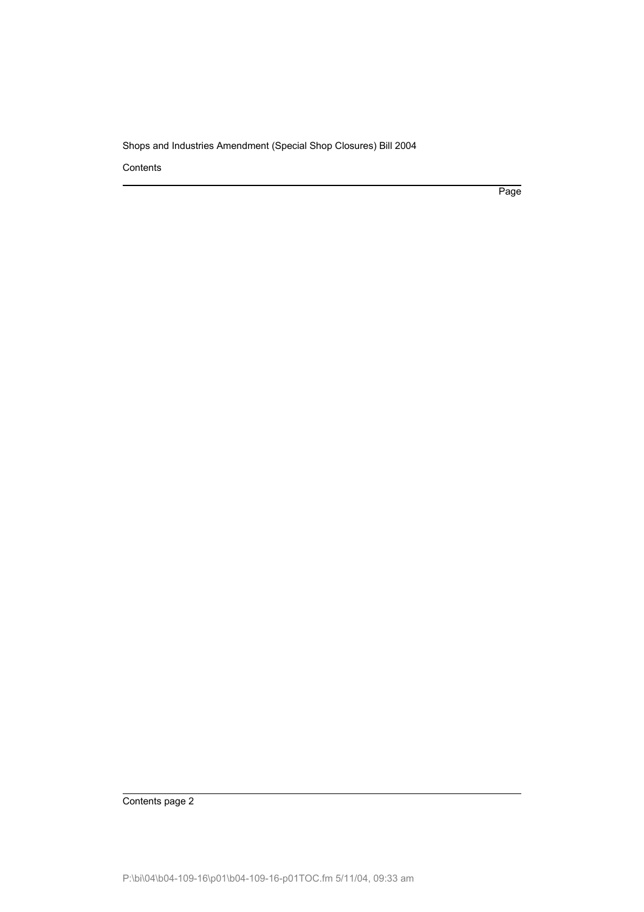**Contents** 

Page

Contents page 2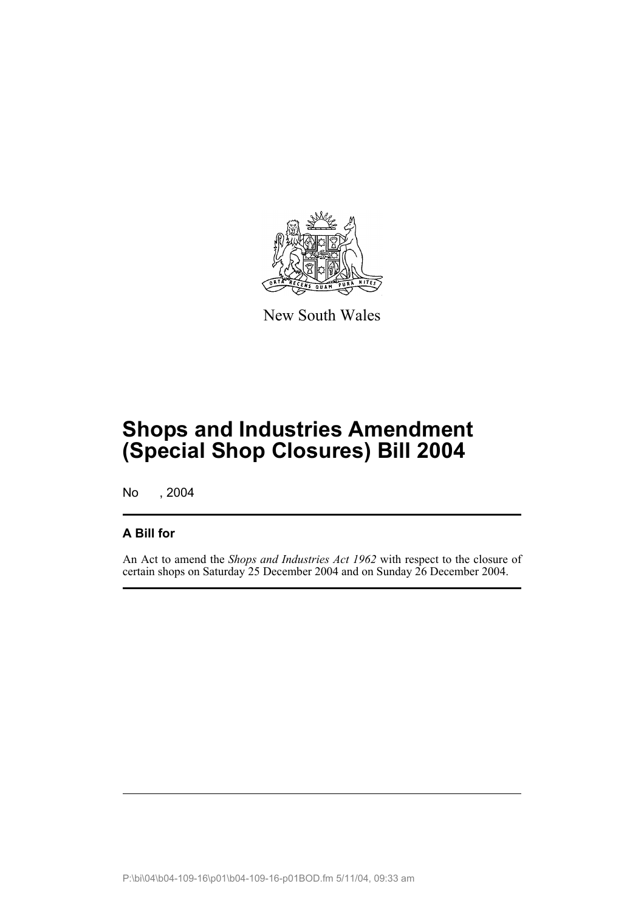

New South Wales

## **Shops and Industries Amendment (Special Shop Closures) Bill 2004**

No , 2004

#### **A Bill for**

An Act to amend the *Shops and Industries Act 1962* with respect to the closure of certain shops on Saturday 25 December 2004 and on Sunday 26 December 2004.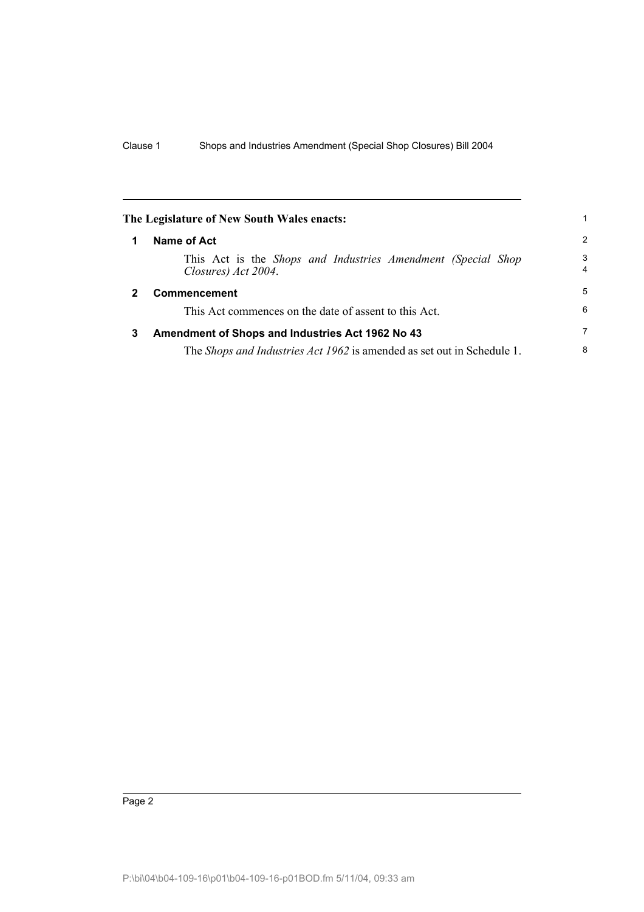<span id="page-5-2"></span><span id="page-5-1"></span><span id="page-5-0"></span>

| The Legislature of New South Wales enacts: |                                                                                     |                     |
|--------------------------------------------|-------------------------------------------------------------------------------------|---------------------|
| 1                                          | Name of Act                                                                         | 2                   |
|                                            | This Act is the Shops and Industries Amendment (Special Shop<br>Closures) Act 2004. | 3<br>$\overline{4}$ |
| $\mathbf{2}$                               | <b>Commencement</b>                                                                 | 5                   |
|                                            | This Act commences on the date of assent to this Act.                               | 6                   |
| 3                                          | Amendment of Shops and Industries Act 1962 No 43                                    | 7                   |
|                                            | The Shops and Industries Act 1962 is amended as set out in Schedule 1.              | 8                   |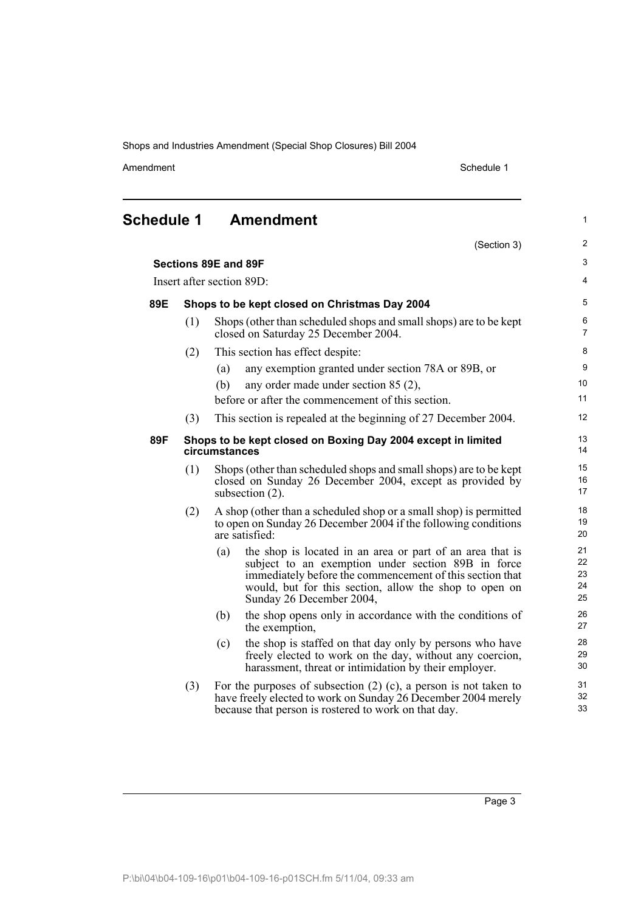Amendment Schedule 1

(Section 3)

1

2

<span id="page-6-0"></span>

| <b>Schedule 1</b> | <b>Amendment</b> |
|-------------------|------------------|
|-------------------|------------------|

| Sections 89E and 89F<br>Insert after section 89D: |     | 3                                                                                                                                                                                                                                                                        |                            |
|---------------------------------------------------|-----|--------------------------------------------------------------------------------------------------------------------------------------------------------------------------------------------------------------------------------------------------------------------------|----------------------------|
|                                                   |     | 4                                                                                                                                                                                                                                                                        |                            |
| 89E                                               |     | Shops to be kept closed on Christmas Day 2004                                                                                                                                                                                                                            | 5                          |
|                                                   | (1) | Shops (other than scheduled shops and small shops) are to be kept<br>closed on Saturday 25 December 2004.                                                                                                                                                                | 6<br>$\overline{7}$        |
|                                                   | (2) | This section has effect despite:                                                                                                                                                                                                                                         | 8                          |
|                                                   |     | any exemption granted under section 78A or 89B, or<br>(a)                                                                                                                                                                                                                | 9                          |
|                                                   |     | (b)<br>any order made under section 85 (2),                                                                                                                                                                                                                              | 10                         |
|                                                   |     | before or after the commencement of this section.                                                                                                                                                                                                                        | 11                         |
|                                                   | (3) | This section is repealed at the beginning of 27 December 2004.                                                                                                                                                                                                           | 12                         |
| 89F                                               |     | Shops to be kept closed on Boxing Day 2004 except in limited<br>circumstances                                                                                                                                                                                            | 13<br>14                   |
|                                                   | (1) | Shops (other than scheduled shops and small shops) are to be kept<br>closed on Sunday 26 December 2004, except as provided by<br>subsection (2).                                                                                                                         | 15<br>16<br>17             |
|                                                   | (2) | A shop (other than a scheduled shop or a small shop) is permitted<br>to open on Sunday 26 December 2004 if the following conditions<br>are satisfied:                                                                                                                    | 18<br>19<br>20             |
|                                                   |     | the shop is located in an area or part of an area that is<br>(a)<br>subject to an exemption under section 89B in force<br>immediately before the commencement of this section that<br>would, but for this section, allow the shop to open on<br>Sunday 26 December 2004, | 21<br>22<br>23<br>24<br>25 |
|                                                   |     | the shop opens only in accordance with the conditions of<br>(b)<br>the exemption,                                                                                                                                                                                        | 26<br>27                   |
|                                                   |     | the shop is staffed on that day only by persons who have<br>(c)<br>freely elected to work on the day, without any coercion,<br>harassment, threat or intimidation by their employer.                                                                                     | 28<br>29<br>30             |
|                                                   | (3) | For the purposes of subsection $(2)$ (c), a person is not taken to<br>have freely elected to work on Sunday 26 December 2004 merely<br>because that person is rostered to work on that day.                                                                              | 31<br>32<br>33             |

Page 3